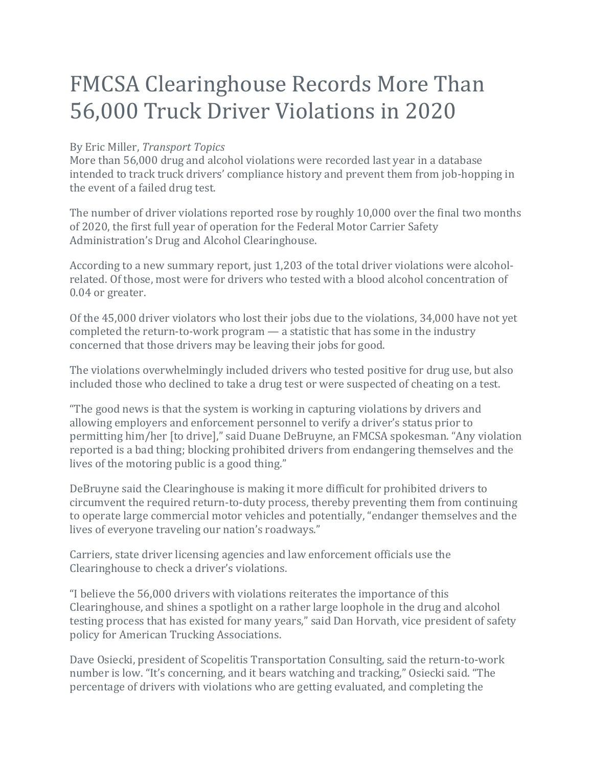## FMCSA Clearinghouse Records More Than 56,000 Truck Driver Violations in 2020

## By Eric Miller, *Transport Topics*

More than 56,000 drug and alcohol violations were recorded last year in a database intended to track truck drivers' compliance history and prevent them from job-hopping in the event of a failed drug test.

The number of driver violations reported rose by roughly 10,000 over the final two months of 2020, the first full year of operation for the Federal Motor Carrier Safety Administration's Drug and Alcohol Clearinghouse.

According to a new summary report, just 1,203 of the total driver violations were alcoholrelated. Of those, most were for drivers who tested with a blood alcohol concentration of 0.04 or greater.

Of the  $45,000$  driver violators who lost their jobs due to the violations,  $34,000$  have not yet completed the return-to-work program  $-$  a statistic that has some in the industry concerned that those drivers may be leaving their jobs for good.

The violations overwhelmingly included drivers who tested positive for drug use, but also included those who declined to take a drug test or were suspected of cheating on a test.

"The good news is that the system is working in capturing violations by drivers and allowing employers and enforcement personnel to verify a driver's status prior to permitting him/her [to drive]," said Duane DeBruyne, an FMCSA spokesman. "Any violation reported is a bad thing; blocking prohibited drivers from endangering themselves and the lives of the motoring public is a good thing."

DeBruyne said the Clearinghouse is making it more difficult for prohibited drivers to circumvent the required return-to-duty process, thereby preventing them from continuing to operate large commercial motor vehicles and potentially, "endanger themselves and the lives of everyone traveling our nation's roadways."

Carriers, state driver licensing agencies and law enforcement officials use the Clearinghouse to check a driver's violations.

"I believe the 56,000 drivers with violations reiterates the importance of this Clearinghouse, and shines a spotlight on a rather large loophole in the drug and alcohol testing process that has existed for many years," said Dan Horvath, vice president of safety policy for American Trucking Associations.

Dave Osiecki, president of Scopelitis Transportation Consulting, said the return-to-work number is low. "It's concerning, and it bears watching and tracking," Osiecki said. "The percentage of drivers with violations who are getting evaluated, and completing the